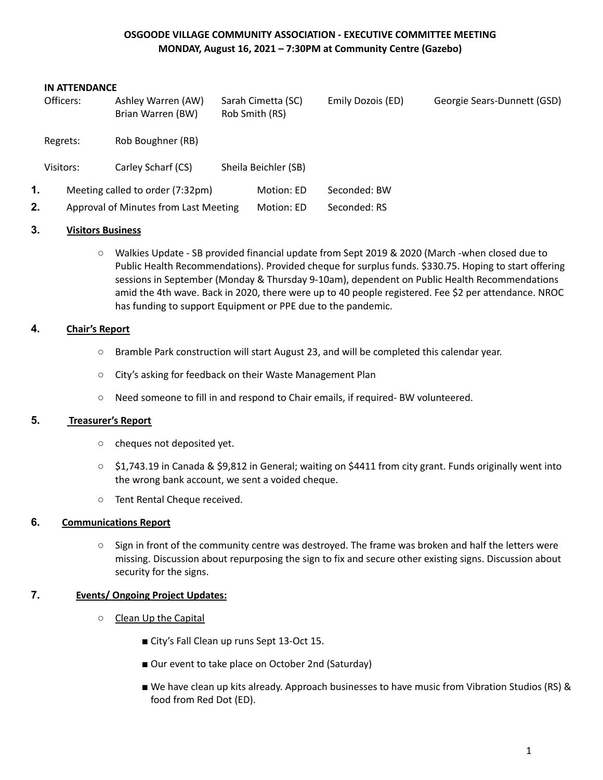# **OSGOODE VILLAGE COMMUNITY ASSOCIATION - EXECUTIVE COMMITTEE MEETING MONDAY, August 16, 2021 – 7:30PM at Community Centre (Gazebo)**

#### **IN ATTENDANCE**

|    | Officers: | Ashley Warren (AW)<br>Brian Warren (BW) | Sarah Cimetta (SC)<br>Rob Smith (RS) | Emily Dozois (ED) | Georgie Sears-Dunnett (GSD) |
|----|-----------|-----------------------------------------|--------------------------------------|-------------------|-----------------------------|
|    | Regrets:  | Rob Boughner (RB)                       |                                      |                   |                             |
|    | Visitors: | Carley Scharf (CS)                      | Sheila Beichler (SB)                 |                   |                             |
| 1. |           | Meeting called to order (7:32pm)        | Motion: ED                           | Seconded: BW      |                             |
| 2. |           | Approval of Minutes from Last Meeting   | Motion: ED                           | Seconded: RS      |                             |

### **3. Visitors Business**

○ Walkies Update - SB provided financial update from Sept 2019 & 2020 (March -when closed due to Public Health Recommendations). Provided cheque for surplus funds. \$330.75. Hoping to start offering sessions in September (Monday & Thursday 9-10am), dependent on Public Health Recommendations amid the 4th wave. Back in 2020, there were up to 40 people registered. Fee \$2 per attendance. NROC has funding to support Equipment or PPE due to the pandemic.

### **4. Chair's Report**

- Bramble Park construction will start August 23, and will be completed this calendar year.
- City's asking for feedback on their Waste Management Plan
- Need someone to fill in and respond to Chair emails, if required- BW volunteered.

### **5. Treasurer's Report**

- cheques not deposited yet.
- \$1,743.19 in Canada & \$9,812 in General; waiting on \$4411 from city grant. Funds originally went into the wrong bank account, we sent a voided cheque.
- Tent Rental Cheque received.

## **6. Communications Report**

○ Sign in front of the community centre was destroyed. The frame was broken and half the letters were missing. Discussion about repurposing the sign to fix and secure other existing signs. Discussion about security for the signs.

### **7. Events/ Ongoing Project Updates:**

- Clean Up the Capital
	- City's Fall Clean up runs Sept 13-Oct 15.
	- Our event to take place on October 2nd (Saturday)
	- We have clean up kits already. Approach businesses to have music from Vibration Studios (RS) & food from Red Dot (ED).